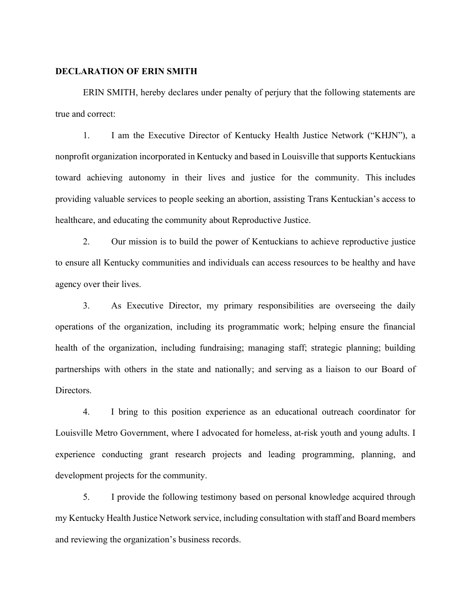### DECLARATION OF ERIN SMITH

ERIN SMITH, hereby declares under penalty of perjury that the following statements are true and correct:

1. I am the Executive Director of Kentucky Health Justice Network ("KHJN"), a nonprofit organization incorporated in Kentucky and based in Louisville that supports Kentuckians toward achieving autonomy in their lives and justice for the community. This includes providing valuable services to people seeking an abortion, assisting Trans Kentuckian's access to healthcare, and educating the community about Reproductive Justice.

2. Our mission is to build the power of Kentuckians to achieve reproductive justice to ensure all Kentucky communities and individuals can access resources to be healthy and have agency over their lives.

3. As Executive Director, my primary responsibilities are overseeing the daily operations of the organization, including its programmatic work; helping ensure the financial health of the organization, including fundraising; managing staff; strategic planning; building partnerships with others in the state and nationally; and serving as a liaison to our Board of Directors.

4. I bring to this position experience as an educational outreach coordinator for Louisville Metro Government, where I advocated for homeless, at-risk youth and young adults. I experience conducting grant research projects and leading programming, planning, and development projects for the community.

5. I provide the following testimony based on personal knowledge acquired through my Kentucky Health Justice Network service, including consultation with staff and Board members and reviewing the organization's business records.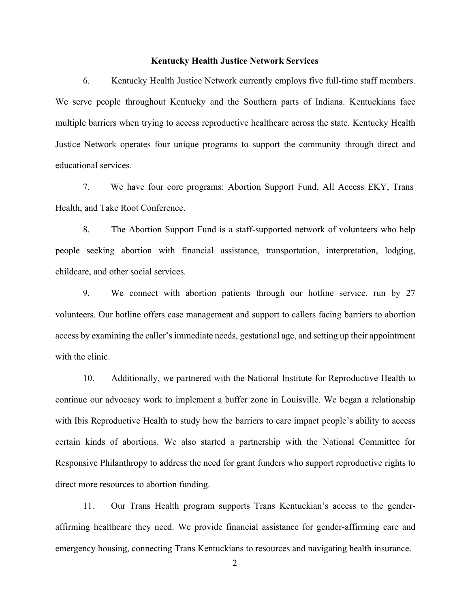### Kentucky Health Justice Network Services

6. Kentucky Health Justice Network currently employs five full-time staff members. We serve people throughout Kentucky and the Southern parts of Indiana. Kentuckians face multiple barriers when trying to access reproductive healthcare across the state. Kentucky Health Justice Network operates four unique programs to support the community through direct and educational services.

7. We have four core programs: Abortion Support Fund, All Access EKY, Trans Health, and Take Root Conference.

8. The Abortion Support Fund is a staff-supported network of volunteers who help people seeking abortion with financial assistance, transportation, interpretation, lodging, childcare, and other social services.

9. We connect with abortion patients through our hotline service, run by 27 volunteers. Our hotline offers case management and support to callers facing barriers to abortion access by examining the caller's immediate needs, gestational age, and setting up their appointment with the clinic.

10. Additionally, we partnered with the National Institute for Reproductive Health to continue our advocacy work to implement a buffer zone in Louisville. We began a relationship with Ibis Reproductive Health to study how the barriers to care impact people's ability to access certain kinds of abortions. We also started a partnership with the National Committee for Responsive Philanthropy to address the need for grant funders who support reproductive rights to direct more resources to abortion funding.

11. Our Trans Health program supports Trans Kentuckian's access to the genderaffirming healthcare they need. We provide financial assistance for gender-affirming care and emergency housing, connecting Trans Kentuckians to resources and navigating health insurance.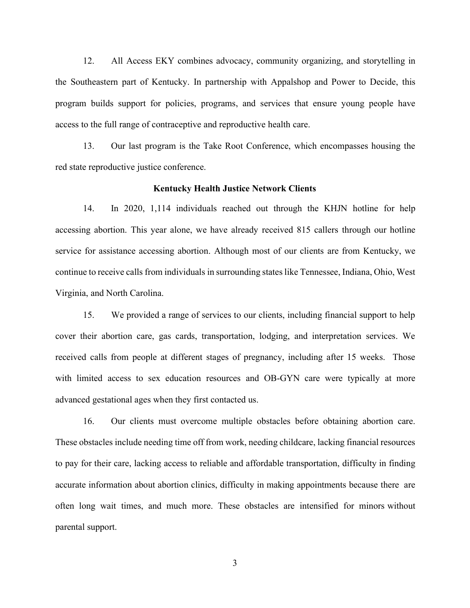12. All Access EKY combines advocacy, community organizing, and storytelling in the Southeastern part of Kentucky. In partnership with Appalshop and Power to Decide, this program builds support for policies, programs, and services that ensure young people have access to the full range of contraceptive and reproductive health care.

13. Our last program is the Take Root Conference, which encompasses housing the red state reproductive justice conference.

#### Kentucky Health Justice Network Clients

14. In 2020, 1,114 individuals reached out through the KHJN hotline for help accessing abortion. This year alone, we have already received 815 callers through our hotline service for assistance accessing abortion. Although most of our clients are from Kentucky, we continue to receive calls from individuals in surrounding states like Tennessee, Indiana, Ohio, West Virginia, and North Carolina.

15. We provided a range of services to our clients, including financial support to help cover their abortion care, gas cards, transportation, lodging, and interpretation services. We received calls from people at different stages of pregnancy, including after 15 weeks. Those with limited access to sex education resources and OB-GYN care were typically at more advanced gestational ages when they first contacted us.

16. Our clients must overcome multiple obstacles before obtaining abortion care. These obstacles include needing time off from work, needing childcare, lacking financial resources to pay for their care, lacking access to reliable and affordable transportation, difficulty in finding accurate information about abortion clinics, difficulty in making appointments because there are often long wait times, and much more. These obstacles are intensified for minors without parental support.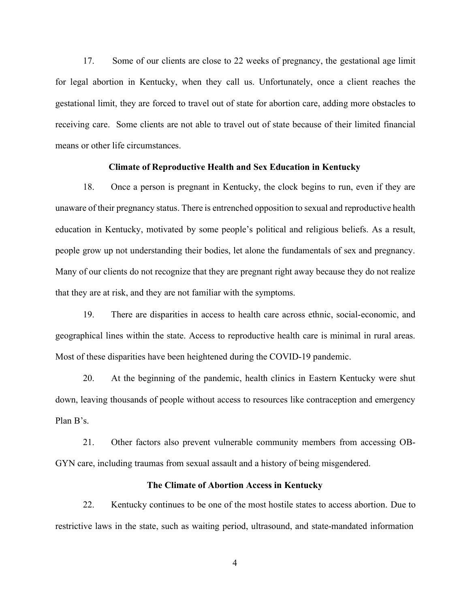17. Some of our clients are close to 22 weeks of pregnancy, the gestational age limit for legal abortion in Kentucky, when they call us. Unfortunately, once a client reaches the gestational limit, they are forced to travel out of state for abortion care, adding more obstacles to receiving care. Some clients are not able to travel out of state because of their limited financial means or other life circumstances.

### Climate of Reproductive Health and Sex Education in Kentucky

18. Once a person is pregnant in Kentucky, the clock begins to run, even if they are unaware of their pregnancy status. There is entrenched opposition to sexual and reproductive health education in Kentucky, motivated by some people's political and religious beliefs. As a result, people grow up not understanding their bodies, let alone the fundamentals of sex and pregnancy. Many of our clients do not recognize that they are pregnant right away because they do not realize that they are at risk, and they are not familiar with the symptoms.

19. There are disparities in access to health care across ethnic, social-economic, and geographical lines within the state. Access to reproductive health care is minimal in rural areas. Most of these disparities have been heightened during the COVID-19 pandemic.

20. At the beginning of the pandemic, health clinics in Eastern Kentucky were shut down, leaving thousands of people without access to resources like contraception and emergency Plan B's.

21. Other factors also prevent vulnerable community members from accessing OB-GYN care, including traumas from sexual assault and a history of being misgendered.

## The Climate of Abortion Access in Kentucky

22. Kentucky continues to be one of the most hostile states to access abortion. Due to restrictive laws in the state, such as waiting period, ultrasound, and state-mandated information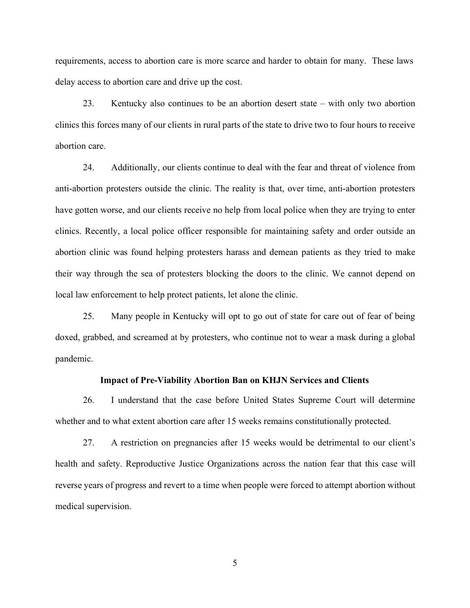requirements, access to abortion care is more scarce and harder to obtain for many. These laws delay access to abortion care and drive up the cost.

23. Kentucky also continues to be an abortion desert state – with only two abortion clinics this forces many of our clients in rural parts of the state to drive two to four hours to receive abortion care.

24. Additionally, our clients continue to deal with the fear and threat of violence from anti-abortion protesters outside the clinic. The reality is that, over time, anti-abortion protesters have gotten worse, and our clients receive no help from local police when they are trying to enter clinics. Recently, a local police officer responsible for maintaining safety and order outside an abortion clinic was found helping protesters harass and demean patients as they tried to make their way through the sea of protesters blocking the doors to the clinic. We cannot depend on local law enforcement to help protect patients, let alone the clinic.

25. Many people in Kentucky will opt to go out of state for care out of fear of being doxed, grabbed, and screamed at by protesters, who continue not to wear a mask during a global pandemic.

# Impact of Pre-Viability Abortion Ban on KHJN Services and Clients

26. I understand that the case before United States Supreme Court will determine whether and to what extent abortion care after 15 weeks remains constitutionally protected.

27. A restriction on pregnancies after 15 weeks would be detrimental to our client's health and safety. Reproductive Justice Organizations across the nation fear that this case will reverse years of progress and revert to a time when people were forced to attempt abortion without medical supervision.